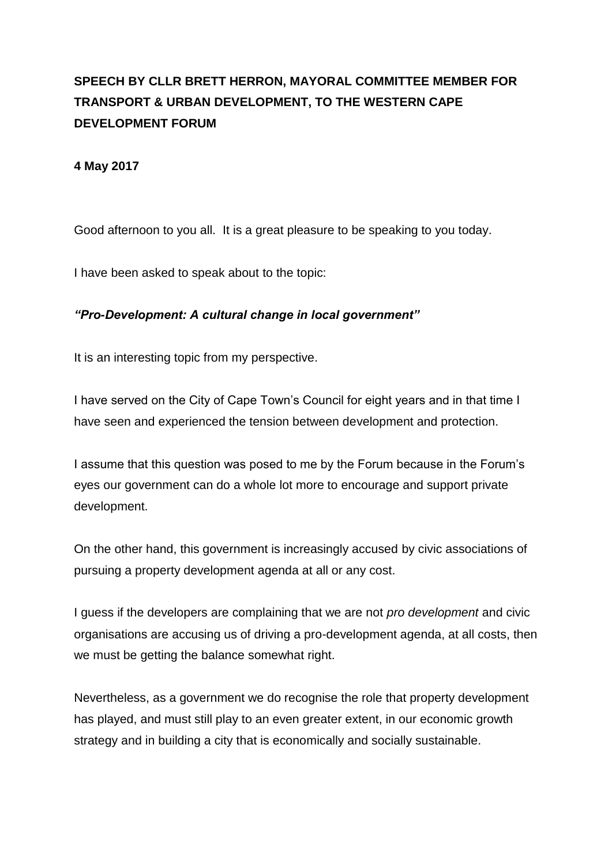## **SPEECH BY CLLR BRETT HERRON, MAYORAL COMMITTEE MEMBER FOR TRANSPORT & URBAN DEVELOPMENT, TO THE WESTERN CAPE DEVELOPMENT FORUM**

## **4 May 2017**

Good afternoon to you all. It is a great pleasure to be speaking to you today.

I have been asked to speak about to the topic:

## *"Pro-Development: A cultural change in local government"*

It is an interesting topic from my perspective.

I have served on the City of Cape Town's Council for eight years and in that time I have seen and experienced the tension between development and protection.

I assume that this question was posed to me by the Forum because in the Forum's eyes our government can do a whole lot more to encourage and support private development.

On the other hand, this government is increasingly accused by civic associations of pursuing a property development agenda at all or any cost.

I guess if the developers are complaining that we are not *pro development* and civic organisations are accusing us of driving a pro-development agenda, at all costs, then we must be getting the balance somewhat right.

Nevertheless, as a government we do recognise the role that property development has played, and must still play to an even greater extent, in our economic growth strategy and in building a city that is economically and socially sustainable.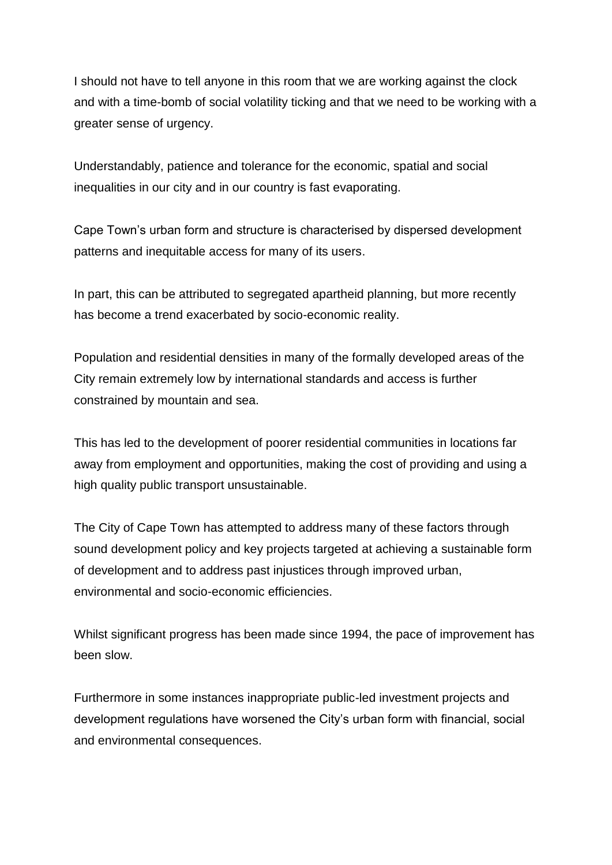I should not have to tell anyone in this room that we are working against the clock and with a time-bomb of social volatility ticking and that we need to be working with a greater sense of urgency.

Understandably, patience and tolerance for the economic, spatial and social inequalities in our city and in our country is fast evaporating.

Cape Town's urban form and structure is characterised by dispersed development patterns and inequitable access for many of its users.

In part, this can be attributed to segregated apartheid planning, but more recently has become a trend exacerbated by socio-economic reality.

Population and residential densities in many of the formally developed areas of the City remain extremely low by international standards and access is further constrained by mountain and sea.

This has led to the development of poorer residential communities in locations far away from employment and opportunities, making the cost of providing and using a high quality public transport unsustainable.

The City of Cape Town has attempted to address many of these factors through sound development policy and key projects targeted at achieving a sustainable form of development and to address past injustices through improved urban, environmental and socio-economic efficiencies.

Whilst significant progress has been made since 1994, the pace of improvement has been slow.

Furthermore in some instances inappropriate public-led investment projects and development regulations have worsened the City's urban form with financial, social and environmental consequences.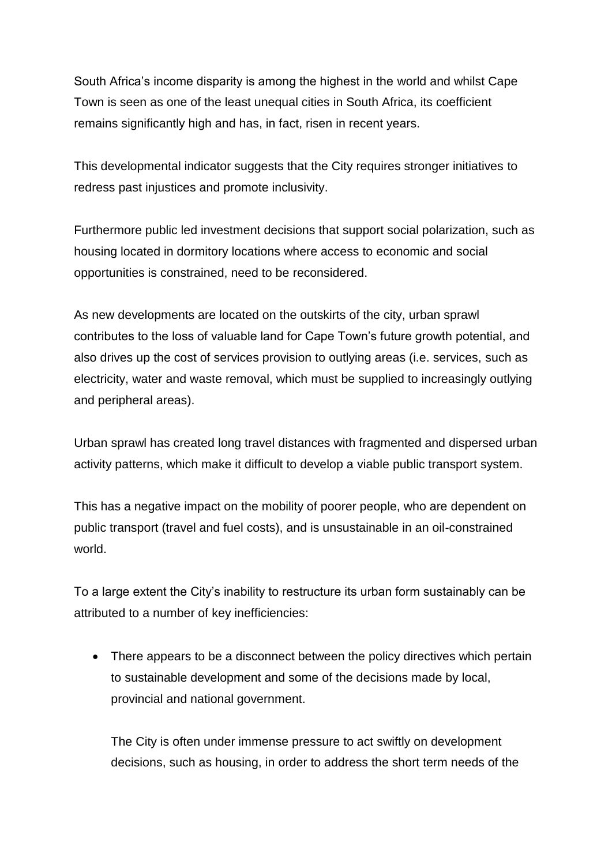South Africa's income disparity is among the highest in the world and whilst Cape Town is seen as one of the least unequal cities in South Africa, its coefficient remains significantly high and has, in fact, risen in recent years.

This developmental indicator suggests that the City requires stronger initiatives to redress past injustices and promote inclusivity.

Furthermore public led investment decisions that support social polarization, such as housing located in dormitory locations where access to economic and social opportunities is constrained, need to be reconsidered.

As new developments are located on the outskirts of the city, urban sprawl contributes to the loss of valuable land for Cape Town's future growth potential, and also drives up the cost of services provision to outlying areas (i.e. services, such as electricity, water and waste removal, which must be supplied to increasingly outlying and peripheral areas).

Urban sprawl has created long travel distances with fragmented and dispersed urban activity patterns, which make it difficult to develop a viable public transport system.

This has a negative impact on the mobility of poorer people, who are dependent on public transport (travel and fuel costs), and is unsustainable in an oil-constrained world.

To a large extent the City's inability to restructure its urban form sustainably can be attributed to a number of key inefficiencies:

• There appears to be a disconnect between the policy directives which pertain to sustainable development and some of the decisions made by local, provincial and national government.

The City is often under immense pressure to act swiftly on development decisions, such as housing, in order to address the short term needs of the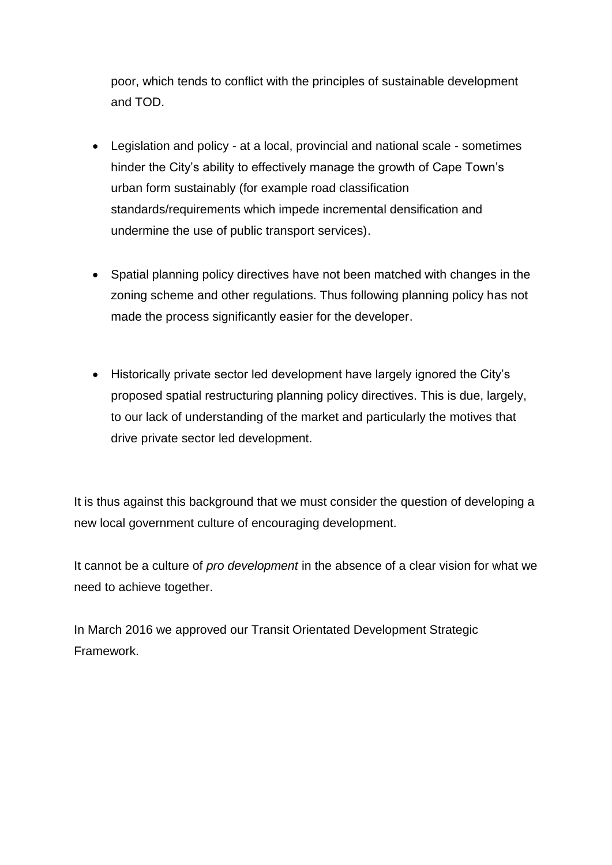poor, which tends to conflict with the principles of sustainable development and TOD.

- Legislation and policy at a local, provincial and national scale sometimes hinder the City's ability to effectively manage the growth of Cape Town's urban form sustainably (for example road classification standards/requirements which impede incremental densification and undermine the use of public transport services).
- Spatial planning policy directives have not been matched with changes in the zoning scheme and other regulations. Thus following planning policy has not made the process significantly easier for the developer.
- Historically private sector led development have largely ignored the City's proposed spatial restructuring planning policy directives. This is due, largely, to our lack of understanding of the market and particularly the motives that drive private sector led development.

It is thus against this background that we must consider the question of developing a new local government culture of encouraging development.

It cannot be a culture of *pro development* in the absence of a clear vision for what we need to achieve together.

In March 2016 we approved our Transit Orientated Development Strategic Framework.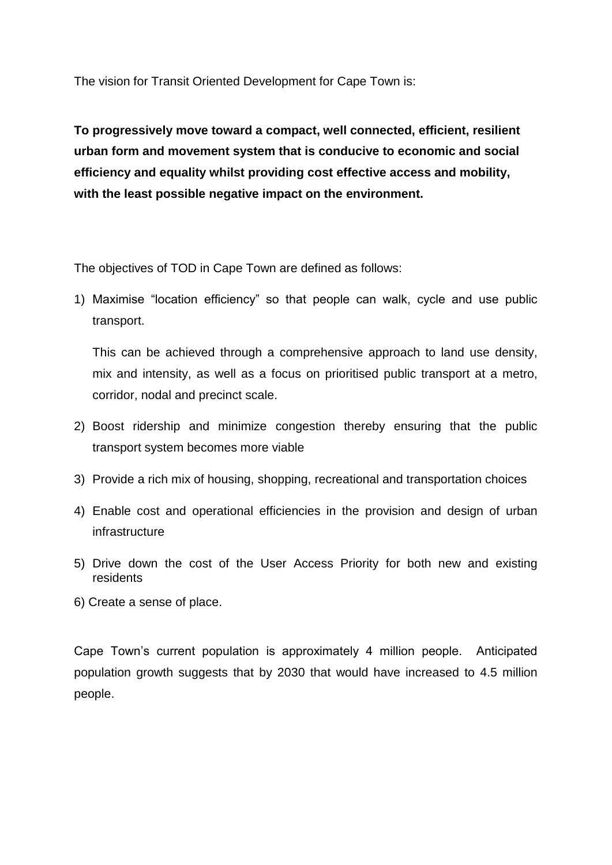The vision for Transit Oriented Development for Cape Town is:

**To progressively move toward a compact, well connected, efficient, resilient urban form and movement system that is conducive to economic and social efficiency and equality whilst providing cost effective access and mobility, with the least possible negative impact on the environment.**

The objectives of TOD in Cape Town are defined as follows:

1) Maximise "location efficiency" so that people can walk, cycle and use public transport.

This can be achieved through a comprehensive approach to land use density, mix and intensity, as well as a focus on prioritised public transport at a metro, corridor, nodal and precinct scale.

- 2) Boost ridership and minimize congestion thereby ensuring that the public transport system becomes more viable
- 3) Provide a rich mix of housing, shopping, recreational and transportation choices
- 4) Enable cost and operational efficiencies in the provision and design of urban infrastructure
- 5) Drive down the cost of the User Access Priority for both new and existing residents
- 6) Create a sense of place.

Cape Town's current population is approximately 4 million people. Anticipated population growth suggests that by 2030 that would have increased to 4.5 million people.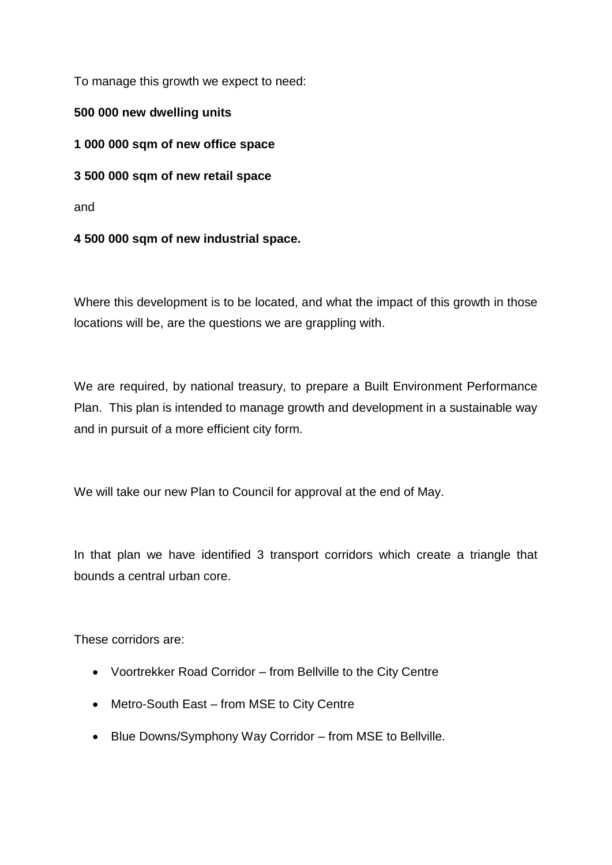To manage this growth we expect to need:

**500 000 new dwelling units**

**1 000 000 sqm of new office space**

**3 500 000 sqm of new retail space**

and

**4 500 000 sqm of new industrial space.**

Where this development is to be located, and what the impact of this growth in those locations will be, are the questions we are grappling with.

We are required, by national treasury, to prepare a Built Environment Performance Plan. This plan is intended to manage growth and development in a sustainable way and in pursuit of a more efficient city form.

We will take our new Plan to Council for approval at the end of May.

In that plan we have identified 3 transport corridors which create a triangle that bounds a central urban core.

These corridors are:

- Voortrekker Road Corridor from Bellville to the City Centre
- Metro-South East from MSE to City Centre
- Blue Downs/Symphony Way Corridor from MSE to Bellville.